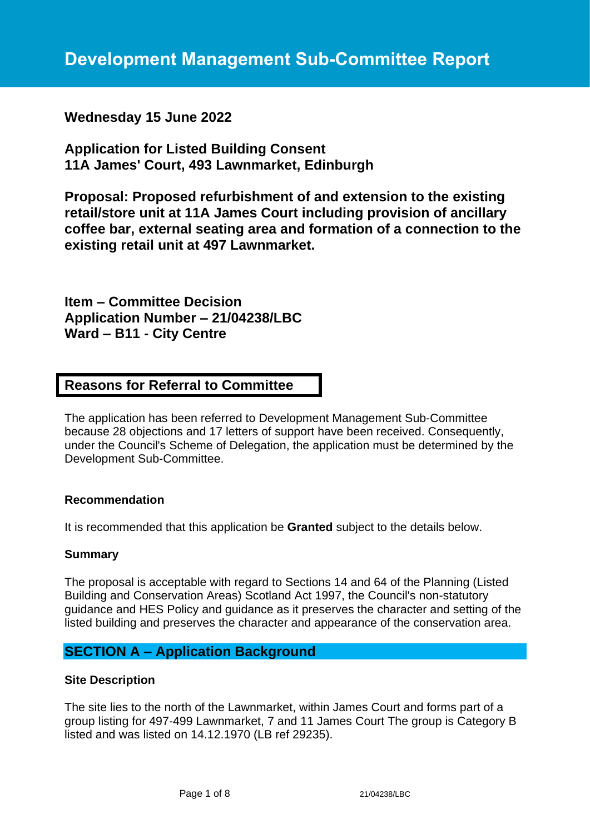**Wednesday 15 June 2022**

**Application for Listed Building Consent 11A James' Court, 493 Lawnmarket, Edinburgh**

**Proposal: Proposed refurbishment of and extension to the existing retail/store unit at 11A James Court including provision of ancillary coffee bar, external seating area and formation of a connection to the existing retail unit at 497 Lawnmarket.**

**Item – Committee Decision Application Number – 21/04238/LBC Ward – B11 - City Centre**

# **Reasons for Referral to Committee**

The application has been referred to Development Management Sub-Committee because 28 objections and 17 letters of support have been received. Consequently, under the Council's Scheme of Delegation, the application must be determined by the Development Sub-Committee.

### **Recommendation**

It is recommended that this application be **Granted** subject to the details below.

### **Summary**

The proposal is acceptable with regard to Sections 14 and 64 of the Planning (Listed Building and Conservation Areas) Scotland Act 1997, the Council's non-statutory guidance and HES Policy and guidance as it preserves the character and setting of the listed building and preserves the character and appearance of the conservation area.

# **SECTION A – Application Background**

### **Site Description**

The site lies to the north of the Lawnmarket, within James Court and forms part of a group listing for 497-499 Lawnmarket, 7 and 11 James Court The group is Category B listed and was listed on 14.12.1970 (LB ref 29235).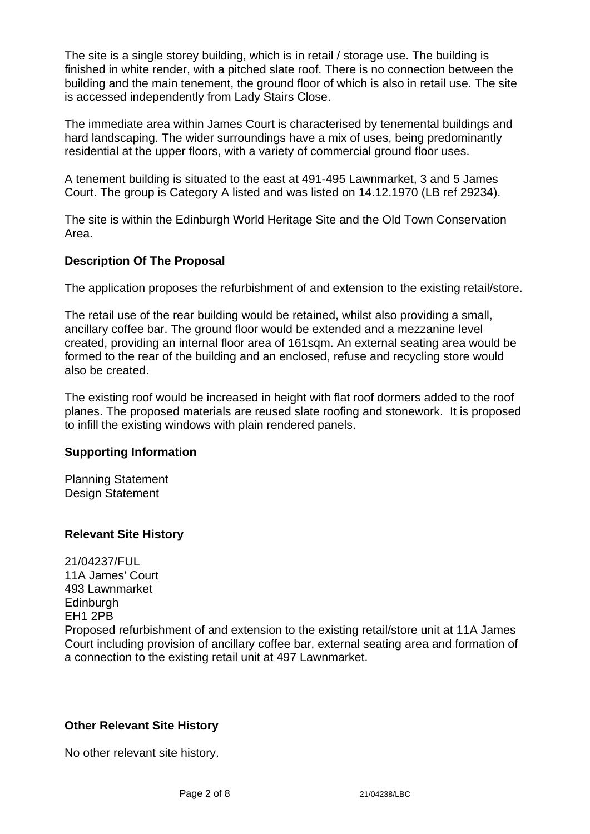The site is a single storey building, which is in retail / storage use. The building is finished in white render, with a pitched slate roof. There is no connection between the building and the main tenement, the ground floor of which is also in retail use. The site is accessed independently from Lady Stairs Close.

The immediate area within James Court is characterised by tenemental buildings and hard landscaping. The wider surroundings have a mix of uses, being predominantly residential at the upper floors, with a variety of commercial ground floor uses.

A tenement building is situated to the east at 491-495 Lawnmarket, 3 and 5 James Court. The group is Category A listed and was listed on 14.12.1970 (LB ref 29234).

The site is within the Edinburgh World Heritage Site and the Old Town Conservation Area.

### **Description Of The Proposal**

The application proposes the refurbishment of and extension to the existing retail/store.

The retail use of the rear building would be retained, whilst also providing a small, ancillary coffee bar. The ground floor would be extended and a mezzanine level created, providing an internal floor area of 161sqm. An external seating area would be formed to the rear of the building and an enclosed, refuse and recycling store would also be created.

The existing roof would be increased in height with flat roof dormers added to the roof planes. The proposed materials are reused slate roofing and stonework. It is proposed to infill the existing windows with plain rendered panels.

### **Supporting Information**

Planning Statement Design Statement

### **Relevant Site History**

21/04237/FUL 11A James' Court 493 Lawnmarket **Edinburgh** EH1 2PB Proposed refurbishment of and extension to the existing retail/store unit at 11A James Court including provision of ancillary coffee bar, external seating area and formation of a connection to the existing retail unit at 497 Lawnmarket.

### **Other Relevant Site History**

No other relevant site history.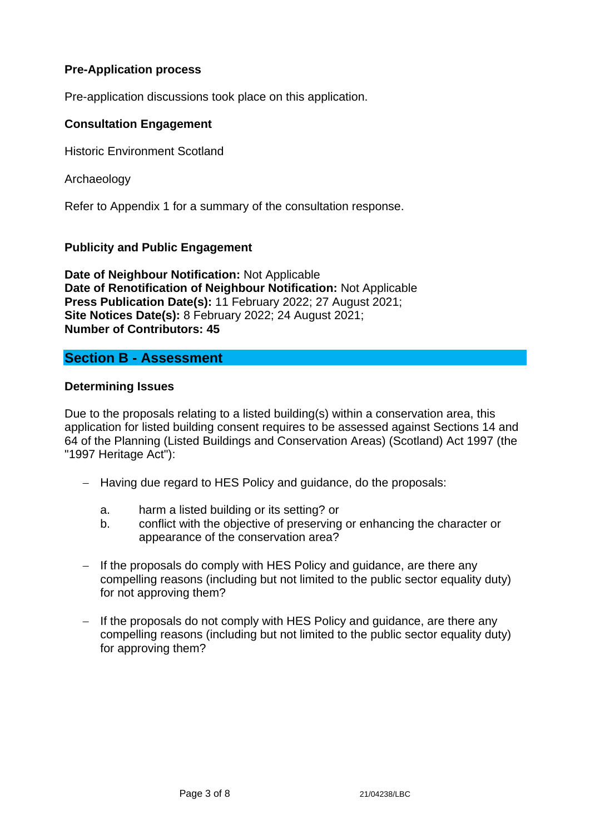### **Pre-Application process**

Pre-application discussions took place on this application.

### **Consultation Engagement**

Historic Environment Scotland

Archaeology

Refer to Appendix 1 for a summary of the consultation response.

### **Publicity and Public Engagement**

**Date of Neighbour Notification:** Not Applicable **Date of Renotification of Neighbour Notification:** Not Applicable **Press Publication Date(s):** 11 February 2022; 27 August 2021; **Site Notices Date(s):** 8 February 2022; 24 August 2021; **Number of Contributors: 45**

## **Section B - Assessment**

#### **Determining Issues**

Due to the proposals relating to a listed building(s) within a conservation area, this application for listed building consent requires to be assessed against Sections 14 and 64 of the Planning (Listed Buildings and Conservation Areas) (Scotland) Act 1997 (the "1997 Heritage Act"):

- − Having due regard to HES Policy and guidance, do the proposals:
	- a. harm a listed building or its setting? or
	- b. conflict with the objective of preserving or enhancing the character or appearance of the conservation area?
- − If the proposals do comply with HES Policy and guidance, are there any compelling reasons (including but not limited to the public sector equality duty) for not approving them?
- − If the proposals do not comply with HES Policy and guidance, are there any compelling reasons (including but not limited to the public sector equality duty) for approving them?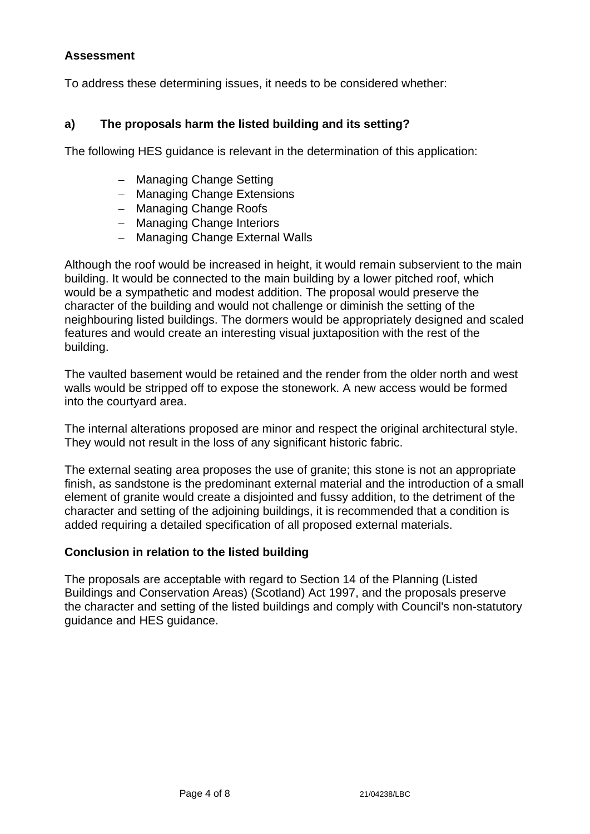### **Assessment**

To address these determining issues, it needs to be considered whether:

### **a) The proposals harm the listed building and its setting?**

The following HES guidance is relevant in the determination of this application:

- − Managing Change Setting
- − Managing Change Extensions
- − Managing Change Roofs
- − Managing Change Interiors
- − Managing Change External Walls

Although the roof would be increased in height, it would remain subservient to the main building. It would be connected to the main building by a lower pitched roof, which would be a sympathetic and modest addition. The proposal would preserve the character of the building and would not challenge or diminish the setting of the neighbouring listed buildings. The dormers would be appropriately designed and scaled features and would create an interesting visual juxtaposition with the rest of the building.

The vaulted basement would be retained and the render from the older north and west walls would be stripped off to expose the stonework. A new access would be formed into the courtyard area.

The internal alterations proposed are minor and respect the original architectural style. They would not result in the loss of any significant historic fabric.

The external seating area proposes the use of granite; this stone is not an appropriate finish, as sandstone is the predominant external material and the introduction of a small element of granite would create a disjointed and fussy addition, to the detriment of the character and setting of the adjoining buildings, it is recommended that a condition is added requiring a detailed specification of all proposed external materials.

### **Conclusion in relation to the listed building**

The proposals are acceptable with regard to Section 14 of the Planning (Listed Buildings and Conservation Areas) (Scotland) Act 1997, and the proposals preserve the character and setting of the listed buildings and comply with Council's non-statutory guidance and HES guidance.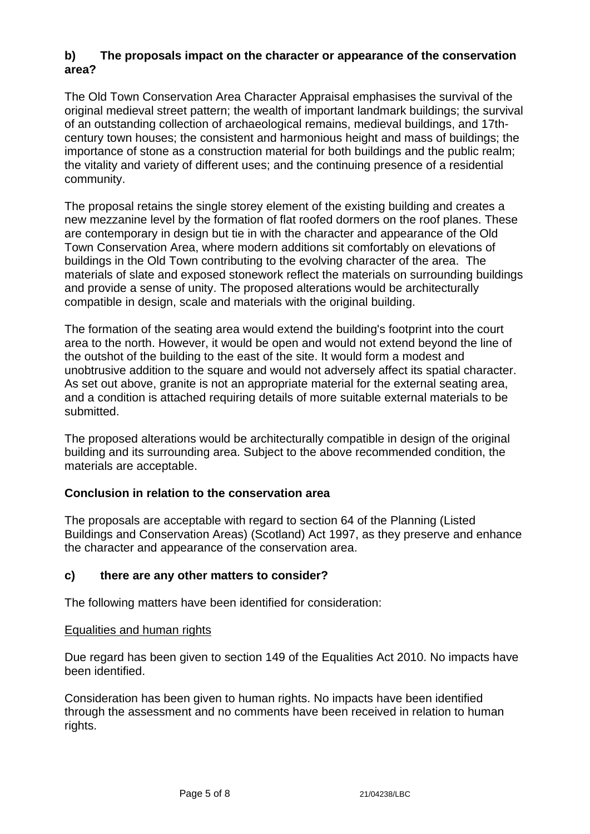# **b) The proposals impact on the character or appearance of the conservation area?**

The Old Town Conservation Area Character Appraisal emphasises the survival of the original medieval street pattern; the wealth of important landmark buildings; the survival of an outstanding collection of archaeological remains, medieval buildings, and 17thcentury town houses; the consistent and harmonious height and mass of buildings; the importance of stone as a construction material for both buildings and the public realm; the vitality and variety of different uses; and the continuing presence of a residential community.

The proposal retains the single storey element of the existing building and creates a new mezzanine level by the formation of flat roofed dormers on the roof planes. These are contemporary in design but tie in with the character and appearance of the Old Town Conservation Area, where modern additions sit comfortably on elevations of buildings in the Old Town contributing to the evolving character of the area. The materials of slate and exposed stonework reflect the materials on surrounding buildings and provide a sense of unity. The proposed alterations would be architecturally compatible in design, scale and materials with the original building.

The formation of the seating area would extend the building's footprint into the court area to the north. However, it would be open and would not extend beyond the line of the outshot of the building to the east of the site. It would form a modest and unobtrusive addition to the square and would not adversely affect its spatial character. As set out above, granite is not an appropriate material for the external seating area, and a condition is attached requiring details of more suitable external materials to be submitted.

The proposed alterations would be architecturally compatible in design of the original building and its surrounding area. Subject to the above recommended condition, the materials are acceptable.

## **Conclusion in relation to the conservation area**

The proposals are acceptable with regard to section 64 of the Planning (Listed Buildings and Conservation Areas) (Scotland) Act 1997, as they preserve and enhance the character and appearance of the conservation area.

## **c) there are any other matters to consider?**

The following matters have been identified for consideration:

## Equalities and human rights

Due regard has been given to section 149 of the Equalities Act 2010. No impacts have been identified.

Consideration has been given to human rights. No impacts have been identified through the assessment and no comments have been received in relation to human rights.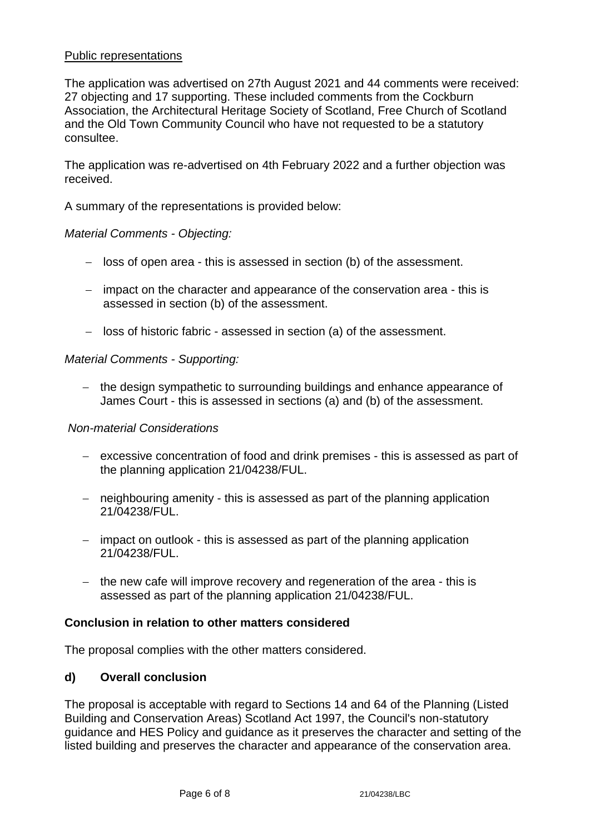### Public representations

The application was advertised on 27th August 2021 and 44 comments were received: 27 objecting and 17 supporting. These included comments from the Cockburn Association, the Architectural Heritage Society of Scotland, Free Church of Scotland and the Old Town Community Council who have not requested to be a statutory consultee.

The application was re-advertised on 4th February 2022 and a further objection was received.

A summary of the representations is provided below:

#### *Material Comments - Objecting:*

- − loss of open area this is assessed in section (b) of the assessment.
- − impact on the character and appearance of the conservation area this is assessed in section (b) of the assessment.
- − loss of historic fabric assessed in section (a) of the assessment.

#### *Material Comments - Supporting:*

− the design sympathetic to surrounding buildings and enhance appearance of James Court - this is assessed in sections (a) and (b) of the assessment.

#### *Non-material Considerations*

- − excessive concentration of food and drink premises this is assessed as part of the planning application 21/04238/FUL.
- − neighbouring amenity this is assessed as part of the planning application 21/04238/FUL.
- − impact on outlook this is assessed as part of the planning application 21/04238/FUL.
- − the new cafe will improve recovery and regeneration of the area this is assessed as part of the planning application 21/04238/FUL.

#### **Conclusion in relation to other matters considered**

The proposal complies with the other matters considered.

### **d) Overall conclusion**

The proposal is acceptable with regard to Sections 14 and 64 of the Planning (Listed Building and Conservation Areas) Scotland Act 1997, the Council's non-statutory guidance and HES Policy and guidance as it preserves the character and setting of the listed building and preserves the character and appearance of the conservation area.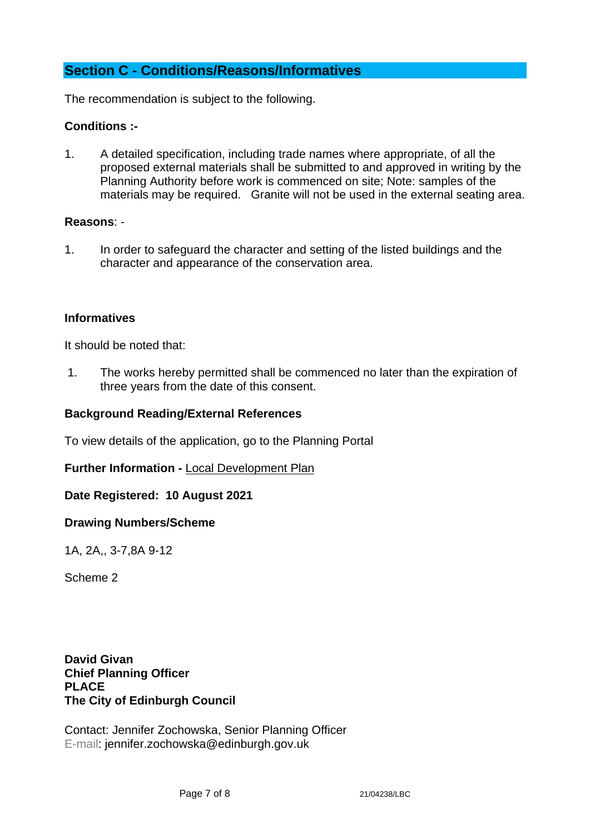# **Section C - Conditions/Reasons/Informatives**

The recommendation is subject to the following.

### **Conditions :-**

1. A detailed specification, including trade names where appropriate, of all the proposed external materials shall be submitted to and approved in writing by the Planning Authority before work is commenced on site; Note: samples of the materials may be required. Granite will not be used in the external seating area.

#### **Reasons**: -

1. In order to safeguard the character and setting of the listed buildings and the character and appearance of the conservation area.

#### **Informatives**

It should be noted that:

1. The works hereby permitted shall be commenced no later than the expiration of three years from the date of this consent.

### **Background Reading/External References**

To view details of the application, go to the Planning Portal

**Further Information -** [Local Development Plan](https://www.edinburgh.gov.uk/local-development-plan-guidance-1/edinburgh-local-development-plan/1)

**Date Registered: 10 August 2021**

#### **Drawing Numbers/Scheme**

1A, 2A,, 3-7,8A 9-12

Scheme 2

**David Givan Chief Planning Officer PLACE The City of Edinburgh Council**

Contact: Jennifer Zochowska, Senior Planning Officer E-mail: jennifer.zochowska@edinburgh.gov.uk